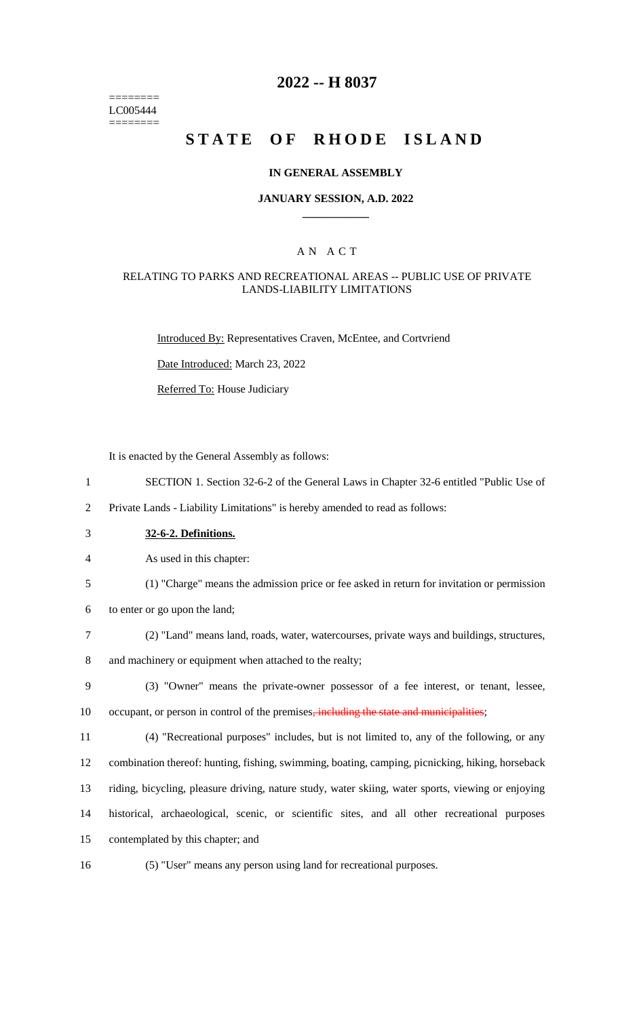======== LC005444 ========

# **2022 -- H 8037**

# **STATE OF RHODE ISLAND**

### **IN GENERAL ASSEMBLY**

### **JANUARY SESSION, A.D. 2022 \_\_\_\_\_\_\_\_\_\_\_\_**

### A N A C T

### RELATING TO PARKS AND RECREATIONAL AREAS -- PUBLIC USE OF PRIVATE LANDS-LIABILITY LIMITATIONS

Introduced By: Representatives Craven, McEntee, and Cortvriend

Date Introduced: March 23, 2022

Referred To: House Judiciary

It is enacted by the General Assembly as follows:

- 1 SECTION 1. Section 32-6-2 of the General Laws in Chapter 32-6 entitled "Public Use of
- 2 Private Lands Liability Limitations" is hereby amended to read as follows:
- 3 **32-6-2. Definitions.**
- 4 As used in this chapter:
- 5 (1) "Charge" means the admission price or fee asked in return for invitation or permission
- 6 to enter or go upon the land;
- 7 (2) "Land" means land, roads, water, watercourses, private ways and buildings, structures,

8 and machinery or equipment when attached to the realty;

- 9 (3) "Owner" means the private-owner possessor of a fee interest, or tenant, lessee, 10 occupant, or person in control of the premises, including the state and municipalities;
- 11 (4) "Recreational purposes" includes, but is not limited to, any of the following, or any

12 combination thereof: hunting, fishing, swimming, boating, camping, picnicking, hiking, horseback

13 riding, bicycling, pleasure driving, nature study, water skiing, water sports, viewing or enjoying

14 historical, archaeological, scenic, or scientific sites, and all other recreational purposes

- 15 contemplated by this chapter; and
- 
- 16 (5) "User" means any person using land for recreational purposes.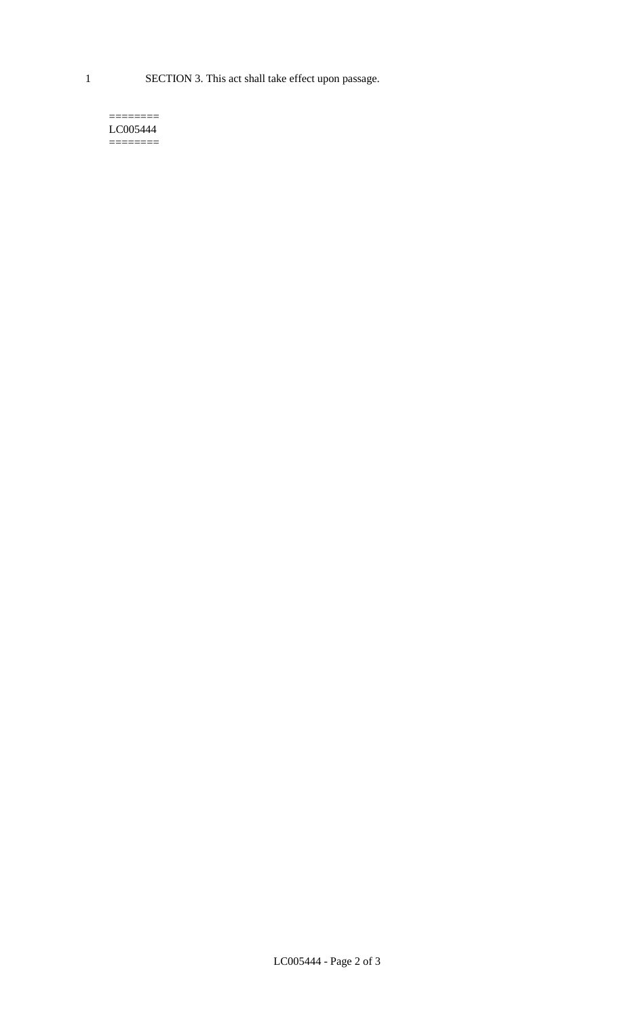1 SECTION 3. This act shall take effect upon passage.

#### $=$ LC005444  $=$

LC005444 - Page 2 of 3